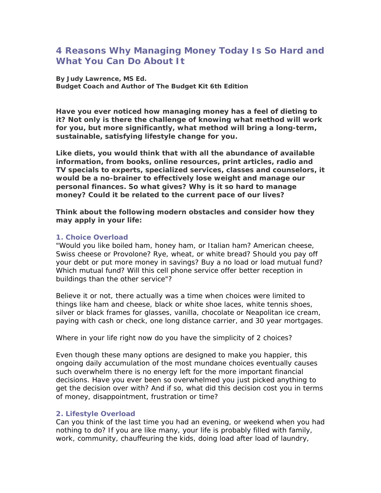# **4 Reasons Why Managing Money Today Is So Hard and What You Can Do About It**

**By Judy Lawrence, MS Ed. Budget Coach and Author of The Budget Kit 6th Edition** 

**Have you ever noticed how managing money has a feel of dieting to it? Not only is there the challenge of knowing what method will work for you, but more significantly, what method will bring a long-term, sustainable, satisfying lifestyle change for you.** 

**Like diets, you would think that with all the abundance of available information, from books, online resources, print articles, radio and TV specials to experts, specialized services, classes and counselors, it would be a no-brainer to effectively lose weight and manage our personal finances. So what gives? Why is it so hard to manage money? Could it be related to the current pace of our lives?** 

**Think about the following modern obstacles and consider how they may apply in your life:**

#### **1. Choice Overload**

"Would you like boiled ham, honey ham, or Italian ham? American cheese, Swiss cheese or Provolone? Rye, wheat, or white bread? Should you pay off your debt or put more money in savings? Buy a no load or load mutual fund? Which mutual fund? Will this cell phone service offer better reception in buildings than the other service"?

Believe it or not, there actually was a time when choices were limited to things like ham and cheese, black or white shoe laces, white tennis shoes, silver or black frames for glasses, vanilla, chocolate or Neapolitan ice cream, paying with cash or check, one long distance carrier, and 30 year mortgages.

Where in your life right now do you have the simplicity of 2 choices?

Even though these many options are designed to make you happier, this ongoing daily accumulation of the most mundane choices eventually causes such overwhelm there is no energy left for the more important financial decisions. Have you ever been so overwhelmed you just picked anything to get the decision over with? And if so, what did this decision cost you in terms of money, disappointment, frustration or time?

#### **2. Lifestyle Overload**

Can you think of the last time you had an evening, or weekend when you had nothing to do? If you are like many, your life is probably filled with family, work, community, chauffeuring the kids, doing load after load of laundry,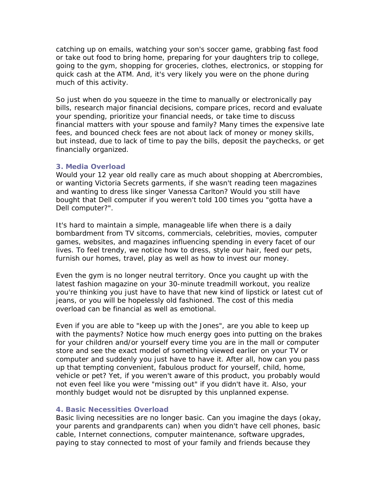catching up on emails, watching your son's soccer game, grabbing fast food or take out food to bring home, preparing for your daughters trip to college, going to the gym, shopping for groceries, clothes, electronics, or stopping for quick cash at the ATM. And, it's very likely you were on the phone during much of this activity.

So just when do you squeeze in the time to manually or electronically pay bills, research major financial decisions, compare prices, record and evaluate your spending, prioritize your financial needs, or take time to discuss financial matters with your spouse and family? Many times the expensive late fees, and bounced check fees are not about lack of money or money skills, but instead, due to lack of time to pay the bills, deposit the paychecks, or get financially organized.

#### **3. Media Overload**

Would your 12 year old really care as much about shopping at Abercrombies, or wanting Victoria Secrets garments, if she wasn't reading teen magazines and wanting to dress like singer Vanessa Carlton? Would you still have bought that Dell computer if you weren't told 100 times you "gotta have a Dell computer?".

It's hard to maintain a simple, manageable life when there is a daily bombardment from TV sitcoms, commercials, celebrities, movies, computer games, websites, and magazines influencing spending in every facet of our lives. To feel trendy, we notice how to dress, style our hair, feed our pets, furnish our homes, travel, play as well as how to invest our money.

Even the gym is no longer neutral territory. Once you caught up with the latest fashion magazine on your 30-minute treadmill workout, you realize you're thinking you just have to have that new kind of lipstick or latest cut of jeans, or you will be hopelessly old fashioned. The cost of this media overload can be financial as well as emotional.

Even if you are able to "keep up with the Jones", are you able to keep up with the payments? Notice how much energy goes into putting on the brakes for your children and/or yourself every time you are in the mall or computer store and see the exact model of something viewed earlier on your TV or computer and suddenly you just have to have it. After all, how can you pass up that tempting convenient, fabulous product for yourself, child, home, vehicle or pet? Yet, if you weren't aware of this product, you probably would not even feel like you were "missing out" if you didn't have it. Also, your monthly budget would not be disrupted by this unplanned expense.

#### **4. Basic Necessities Overload**

Basic living necessities are no longer basic. Can you imagine the days (okay, your parents and grandparents can) when you didn't have cell phones, basic cable, Internet connections, computer maintenance, software upgrades, paying to stay connected to most of your family and friends because they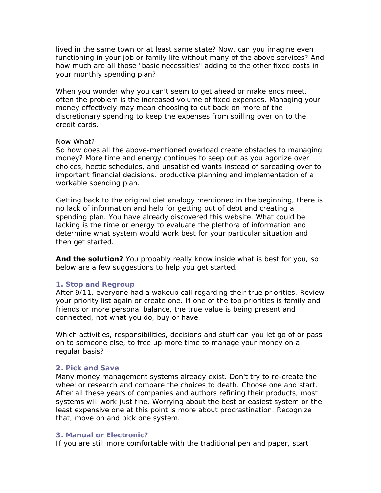lived in the same town or at least same state? Now, can you imagine even functioning in your job or family life without many of the above services? And how much are all those "basic necessities" adding to the other fixed costs in your monthly spending plan?

When you wonder why you can't seem to get ahead or make ends meet, often the problem is the increased volume of fixed expenses. Managing your money effectively may mean choosing to cut back on more of the discretionary spending to keep the expenses from spilling over on to the credit cards.

#### Now What?

So how does all the above-mentioned overload create obstacles to managing money? More time and energy continues to seep out as you agonize over choices, hectic schedules, and unsatisfied wants instead of spreading over to important financial decisions, productive planning and implementation of a workable spending plan.

Getting back to the original diet analogy mentioned in the beginning, there is no lack of information and help for getting out of debt and creating a spending plan. You have already discovered this website. What could be lacking is the time or energy to evaluate the plethora of information and determine what system would work best for your particular situation and then get started.

**And the solution?** You probably really know inside what is best for you, so below are a few suggestions to help you get started.

### **1. Stop and Regroup**

After 9/11, everyone had a wakeup call regarding their true priorities. Review your priority list again or create one. If one of the top priorities is family and friends or more personal balance, the true value is being present and connected, not what you do, buy or have.

Which activities, responsibilities, decisions and stuff can you let go of or pass on to someone else, to free up more time to manage your money on a regular basis?

#### **2. Pick and Save**

Many money management systems already exist. Don't try to re-create the wheel or research and compare the choices to death. Choose one and start. After all these years of companies and authors refining their products, most systems will work just fine. Worrying about the best or easiest system or the least expensive one at this point is more about procrastination. Recognize that, move on and pick one system.

## **3. Manual or Electronic?**

If you are still more comfortable with the traditional pen and paper, start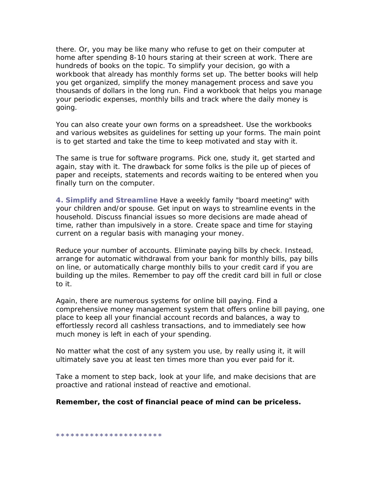there. Or, you may be like many who refuse to get on their computer at home after spending 8-10 hours staring at their screen at work. There are hundreds of books on the topic. To simplify your decision, go with a workbook that already has monthly forms set up. The better books will help you get organized, simplify the money management process and save you thousands of dollars in the long run. Find a workbook that helps you manage your periodic expenses, monthly bills and track where the daily money is going.

You can also create your own forms on a spreadsheet. Use the workbooks and various websites as guidelines for setting up your forms. The main point is to get started and take the time to keep motivated and stay with it.

The same is true for software programs. Pick one, study it, get started and again, stay with it. The drawback for some folks is the pile up of pieces of paper and receipts, statements and records waiting to be entered when you finally turn on the computer.

**4. Simplify and Streamline** Have a weekly family "board meeting" with your children and/or spouse. Get input on ways to streamline events in the household. Discuss financial issues so more decisions are made ahead of time, rather than impulsively in a store. Create space and time for staying current on a regular basis with managing your money.

Reduce your number of accounts. Eliminate paying bills by check. Instead, arrange for automatic withdrawal from your bank for monthly bills, pay bills on line, or automatically charge monthly bills to your credit card if you are building up the miles. Remember to pay off the credit card bill in full or close to it.

Again, there are numerous systems for online bill paying. Find a comprehensive money management system that offers online bill paying, one place to keep all your financial account records and balances, a way to effortlessly record all cashless transactions, and to immediately see how much money is left in each of your spending.

No matter what the cost of any system you use, by really using it, it will ultimately save you at least ten times more than you ever paid for it.

Take a moment to step back, look at your life, and make decisions that are proactive and rational instead of reactive and emotional.

## *Remember, the cost of financial peace of mind can be priceless.*

**\*\*\*\*\*\*\*\*\*\*\*\*\*\*\*\*\*\*\*\*\*\***